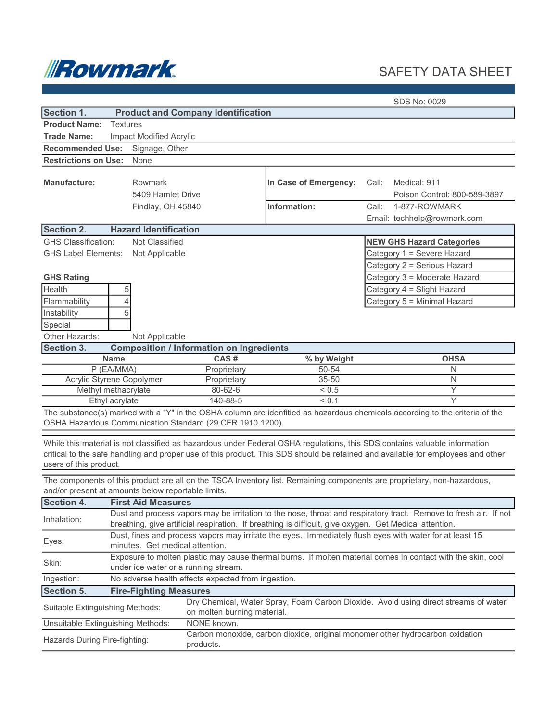

## SAFETY DATA SHEET

SDS No: 0029

| Section 1.                                                                                                                                                                                                                                                                             |                                                                                                                                                                                                                            | <b>Product and Company Identification</b>       |                                       |                                                                                                                |  |
|----------------------------------------------------------------------------------------------------------------------------------------------------------------------------------------------------------------------------------------------------------------------------------------|----------------------------------------------------------------------------------------------------------------------------------------------------------------------------------------------------------------------------|-------------------------------------------------|---------------------------------------|----------------------------------------------------------------------------------------------------------------|--|
| <b>Product Name:</b>                                                                                                                                                                                                                                                                   | <b>Textures</b>                                                                                                                                                                                                            |                                                 |                                       |                                                                                                                |  |
| <b>Trade Name:</b>                                                                                                                                                                                                                                                                     | Impact Modified Acrylic                                                                                                                                                                                                    |                                                 |                                       |                                                                                                                |  |
| <b>Recommended Use:</b>                                                                                                                                                                                                                                                                | Signage, Other                                                                                                                                                                                                             |                                                 |                                       |                                                                                                                |  |
| <b>Restrictions on Use:</b>                                                                                                                                                                                                                                                            | None                                                                                                                                                                                                                       |                                                 |                                       |                                                                                                                |  |
| <b>Manufacture:</b>                                                                                                                                                                                                                                                                    | Rowmark<br>5409 Hamlet Drive<br>Findlay, OH 45840                                                                                                                                                                          |                                                 | In Case of Emergency:<br>Information: | Medical: 911<br>Call:<br>Poison Control: 800-589-3897<br>Call:<br>1-877-ROWMARK<br>Email: techhelp@rowmark.com |  |
| <b>Section 2.</b>                                                                                                                                                                                                                                                                      | <b>Hazard Identification</b>                                                                                                                                                                                               |                                                 |                                       |                                                                                                                |  |
| <b>GHS Classification:</b>                                                                                                                                                                                                                                                             | Not Classified                                                                                                                                                                                                             |                                                 |                                       | <b>NEW GHS Hazard Categories</b>                                                                               |  |
| <b>GHS Label Elements:</b>                                                                                                                                                                                                                                                             | Not Applicable                                                                                                                                                                                                             |                                                 |                                       | Category 1 = Severe Hazard                                                                                     |  |
|                                                                                                                                                                                                                                                                                        |                                                                                                                                                                                                                            |                                                 |                                       | Category 2 = Serious Hazard                                                                                    |  |
| <b>GHS Rating</b>                                                                                                                                                                                                                                                                      |                                                                                                                                                                                                                            |                                                 |                                       | Category 3 = Moderate Hazard                                                                                   |  |
| Health                                                                                                                                                                                                                                                                                 | 5                                                                                                                                                                                                                          |                                                 |                                       | Category 4 = Slight Hazard                                                                                     |  |
| Flammability                                                                                                                                                                                                                                                                           | 4                                                                                                                                                                                                                          |                                                 |                                       | Category 5 = Minimal Hazard                                                                                    |  |
| Instability                                                                                                                                                                                                                                                                            | 5                                                                                                                                                                                                                          |                                                 |                                       |                                                                                                                |  |
| Special                                                                                                                                                                                                                                                                                |                                                                                                                                                                                                                            |                                                 |                                       |                                                                                                                |  |
| Other Hazards:                                                                                                                                                                                                                                                                         | Not Applicable                                                                                                                                                                                                             |                                                 |                                       |                                                                                                                |  |
| Section 3.                                                                                                                                                                                                                                                                             |                                                                                                                                                                                                                            | <b>Composition / Information on Ingredients</b> |                                       |                                                                                                                |  |
|                                                                                                                                                                                                                                                                                        | <b>Name</b>                                                                                                                                                                                                                | CAS#                                            | % by Weight                           | <b>OHSA</b>                                                                                                    |  |
|                                                                                                                                                                                                                                                                                        | P (EA/MMA)                                                                                                                                                                                                                 | Proprietary                                     | 50-54                                 | N                                                                                                              |  |
|                                                                                                                                                                                                                                                                                        | Acrylic Styrene Copolymer                                                                                                                                                                                                  | Proprietary                                     | 35-50                                 | $\mathsf{N}$                                                                                                   |  |
|                                                                                                                                                                                                                                                                                        | Methyl methacrylate                                                                                                                                                                                                        | 80-62-6                                         | ${}_{0.5}$                            | $\overline{Y}$                                                                                                 |  |
|                                                                                                                                                                                                                                                                                        | Ethyl acrylate                                                                                                                                                                                                             | 140-88-5                                        | ${}_{0.1}$                            | Υ                                                                                                              |  |
| The substance(s) marked with a "Y" in the OSHA column are idenfitied as hazardous chemicals according to the criteria of the<br>OSHA Hazardous Communication Standard (29 CFR 1910.1200).                                                                                              |                                                                                                                                                                                                                            |                                                 |                                       |                                                                                                                |  |
| While this material is not classified as hazardous under Federal OSHA regulations, this SDS contains valuable information<br>critical to the safe handling and proper use of this product. This SDS should be retained and available for employees and other<br>users of this product. |                                                                                                                                                                                                                            |                                                 |                                       |                                                                                                                |  |
| The components of this product are all on the TSCA Inventory list. Remaining components are proprietary, non-hazardous,<br>and/or present at amounts below reportable limits.                                                                                                          |                                                                                                                                                                                                                            |                                                 |                                       |                                                                                                                |  |
| Section 4.<br><b>First Aid Measures</b>                                                                                                                                                                                                                                                |                                                                                                                                                                                                                            |                                                 |                                       |                                                                                                                |  |
| Inhalation:                                                                                                                                                                                                                                                                            | Dust and process vapors may be irritation to the nose, throat and respiratory tract. Remove to fresh air. If not<br>breathing, give artificial respiration. If breathing is difficult, give oxygen. Get Medical attention. |                                                 |                                       |                                                                                                                |  |
| Eyes:                                                                                                                                                                                                                                                                                  | Dust, fines and process vapors may irritate the eyes. Immediately flush eyes with water for at least 15<br>minutes. Get medical attention.                                                                                 |                                                 |                                       |                                                                                                                |  |
| Exposure to molten plastic may cause thermal burns. If molten material comes in contact with the skin, cool<br>Skin:<br>under ice water or a running stream.                                                                                                                           |                                                                                                                                                                                                                            |                                                 |                                       |                                                                                                                |  |
| No adverse health effects expected from ingestion.<br>Ingestion:                                                                                                                                                                                                                       |                                                                                                                                                                                                                            |                                                 |                                       |                                                                                                                |  |
| <b>Section 5.</b><br><b>Fire-Fighting Measures</b>                                                                                                                                                                                                                                     |                                                                                                                                                                                                                            |                                                 |                                       |                                                                                                                |  |
| Dry Chemical, Water Spray, Foam Carbon Dioxide. Avoid using direct streams of water<br>Suitable Extinguishing Methods:<br>on molten burning material.                                                                                                                                  |                                                                                                                                                                                                                            |                                                 |                                       |                                                                                                                |  |
| Unsuitable Extinguishing Methods:                                                                                                                                                                                                                                                      |                                                                                                                                                                                                                            | NONE known.                                     |                                       |                                                                                                                |  |
| Carbon monoxide, carbon dioxide, original monomer other hydrocarbon oxidation<br>Hazards During Fire-fighting:<br>products.                                                                                                                                                            |                                                                                                                                                                                                                            |                                                 |                                       |                                                                                                                |  |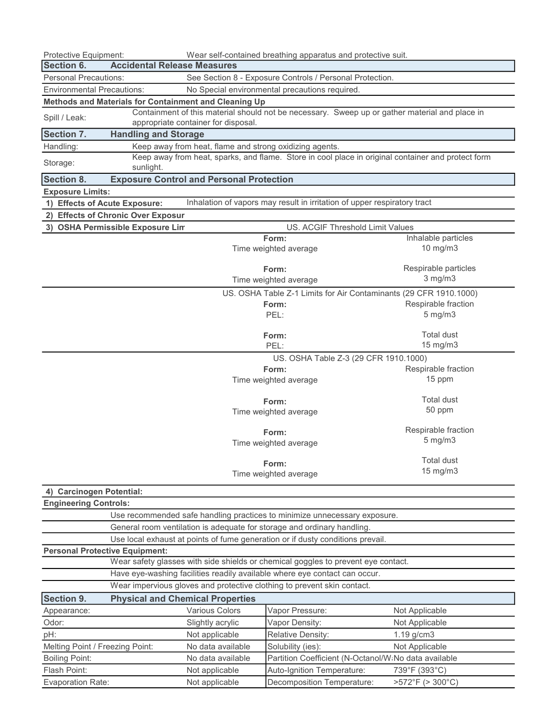| Wear self-contained breathing apparatus and protective suit.<br>Protective Equipment:                                      |                                                                                                    |                                                         |                                                                                                |                      |  |  |
|----------------------------------------------------------------------------------------------------------------------------|----------------------------------------------------------------------------------------------------|---------------------------------------------------------|------------------------------------------------------------------------------------------------|----------------------|--|--|
| Section 6.                                                                                                                 | <b>Accidental Release Measures</b>                                                                 |                                                         |                                                                                                |                      |  |  |
| <b>Personal Precautions:</b>                                                                                               |                                                                                                    |                                                         | See Section 8 - Exposure Controls / Personal Protection.                                       |                      |  |  |
| <b>Environmental Precautions:</b><br>No Special environmental precautions required.                                        |                                                                                                    |                                                         |                                                                                                |                      |  |  |
|                                                                                                                            |                                                                                                    | Methods and Materials for Containment and Cleaning Up   |                                                                                                |                      |  |  |
| Spill / Leak:                                                                                                              |                                                                                                    |                                                         | Containment of this material should not be necessary. Sweep up or gather material and place in |                      |  |  |
|                                                                                                                            |                                                                                                    | appropriate container for disposal.                     |                                                                                                |                      |  |  |
| Section 7.                                                                                                                 | <b>Handling and Storage</b>                                                                        |                                                         |                                                                                                |                      |  |  |
| Handling:                                                                                                                  |                                                                                                    | Keep away from heat, flame and strong oxidizing agents. |                                                                                                |                      |  |  |
| Storage:                                                                                                                   | Keep away from heat, sparks, and flame. Store in cool place in original container and protect form |                                                         |                                                                                                |                      |  |  |
|                                                                                                                            | sunlight.                                                                                          |                                                         |                                                                                                |                      |  |  |
| Section 8.                                                                                                                 |                                                                                                    | <b>Exposure Control and Personal Protection</b>         |                                                                                                |                      |  |  |
| <b>Exposure Limits:</b>                                                                                                    |                                                                                                    |                                                         |                                                                                                |                      |  |  |
| 1) Effects of Acute Exposure:                                                                                              |                                                                                                    |                                                         | Inhalation of vapors may result in irritation of upper respiratory tract                       |                      |  |  |
|                                                                                                                            | 2) Effects of Chronic Over Exposur                                                                 |                                                         |                                                                                                |                      |  |  |
|                                                                                                                            | 3) OSHA Permissible Exposure Lim                                                                   |                                                         | US. ACGIF Threshold Limit Values                                                               |                      |  |  |
|                                                                                                                            |                                                                                                    |                                                         | Form:                                                                                          | Inhalable particles  |  |  |
|                                                                                                                            |                                                                                                    |                                                         | Time weighted average                                                                          | 10 mg/m3             |  |  |
|                                                                                                                            |                                                                                                    |                                                         | Form:                                                                                          | Respirable particles |  |  |
|                                                                                                                            |                                                                                                    |                                                         | Time weighted average                                                                          | $3$ mg/m $3$         |  |  |
|                                                                                                                            |                                                                                                    |                                                         | US. OSHA Table Z-1 Limits for Air Contaminants (29 CFR 1910.1000)                              |                      |  |  |
|                                                                                                                            |                                                                                                    |                                                         | Form:                                                                                          | Respirable fraction  |  |  |
|                                                                                                                            |                                                                                                    |                                                         | PEL:                                                                                           | $5 \text{ mg/m}$     |  |  |
|                                                                                                                            |                                                                                                    |                                                         |                                                                                                |                      |  |  |
|                                                                                                                            |                                                                                                    |                                                         | Form:                                                                                          | <b>Total dust</b>    |  |  |
|                                                                                                                            |                                                                                                    |                                                         | PEL:                                                                                           | 15 mg/m3             |  |  |
|                                                                                                                            |                                                                                                    |                                                         | US. OSHA Table Z-3 (29 CFR 1910.1000)                                                          |                      |  |  |
|                                                                                                                            |                                                                                                    |                                                         | Form:                                                                                          | Respirable fraction  |  |  |
|                                                                                                                            |                                                                                                    |                                                         | Time weighted average                                                                          | 15 ppm               |  |  |
|                                                                                                                            |                                                                                                    |                                                         |                                                                                                |                      |  |  |
|                                                                                                                            |                                                                                                    | Form:                                                   | <b>Total dust</b>                                                                              |                      |  |  |
|                                                                                                                            |                                                                                                    |                                                         | Time weighted average                                                                          | 50 ppm               |  |  |
|                                                                                                                            |                                                                                                    |                                                         | Form:                                                                                          | Respirable fraction  |  |  |
|                                                                                                                            |                                                                                                    |                                                         | Time weighted average                                                                          | 5 mg/m3              |  |  |
|                                                                                                                            |                                                                                                    |                                                         |                                                                                                |                      |  |  |
|                                                                                                                            |                                                                                                    |                                                         | Form:                                                                                          | Total dust           |  |  |
|                                                                                                                            |                                                                                                    |                                                         | Time weighted average                                                                          | $15 \text{ mg/m}$    |  |  |
|                                                                                                                            |                                                                                                    |                                                         |                                                                                                |                      |  |  |
| 4) Carcinogen Potential:                                                                                                   |                                                                                                    |                                                         |                                                                                                |                      |  |  |
| <b>Engineering Controls:</b>                                                                                               |                                                                                                    |                                                         |                                                                                                |                      |  |  |
| Use recommended safe handling practices to minimize unnecessary exposure.                                                  |                                                                                                    |                                                         |                                                                                                |                      |  |  |
| General room ventilation is adequate for storage and ordinary handling.                                                    |                                                                                                    |                                                         |                                                                                                |                      |  |  |
| Use local exhaust at points of fume generation or if dusty conditions prevail.                                             |                                                                                                    |                                                         |                                                                                                |                      |  |  |
| <b>Personal Protective Equipment:</b><br>Wear safety glasses with side shields or chemical goggles to prevent eye contact. |                                                                                                    |                                                         |                                                                                                |                      |  |  |
| Have eye-washing facilities readily available where eye contact can occur.                                                 |                                                                                                    |                                                         |                                                                                                |                      |  |  |
| Wear impervious gloves and protective clothing to prevent skin contact.                                                    |                                                                                                    |                                                         |                                                                                                |                      |  |  |
| <b>Physical and Chemical Properties</b>                                                                                    |                                                                                                    |                                                         |                                                                                                |                      |  |  |
| <b>Section 9.</b>                                                                                                          |                                                                                                    |                                                         |                                                                                                |                      |  |  |
| Appearance:                                                                                                                |                                                                                                    | Various Colors                                          | Vapor Pressure:                                                                                | Not Applicable       |  |  |
| Odor:                                                                                                                      |                                                                                                    | Slightly acrylic                                        | Vapor Density:                                                                                 | Not Applicable       |  |  |
| pH:                                                                                                                        |                                                                                                    | Not applicable                                          | Relative Density:                                                                              | 1.19 g/cm3           |  |  |
| Melting Point / Freezing Point:                                                                                            |                                                                                                    | No data available                                       | Solubility (ies):                                                                              | Not Applicable       |  |  |
| <b>Boiling Point:</b>                                                                                                      |                                                                                                    | No data available                                       | Partition Coefficient (N-Octanol/W:No data available                                           |                      |  |  |
| Flash Point:                                                                                                               |                                                                                                    | Not applicable                                          | Auto-Ignition Temperature:                                                                     | 739°F (393°C)        |  |  |
| Evaporation Rate:                                                                                                          |                                                                                                    | Not applicable                                          | Decomposition Temperature:                                                                     | >572°F (> 300°C)     |  |  |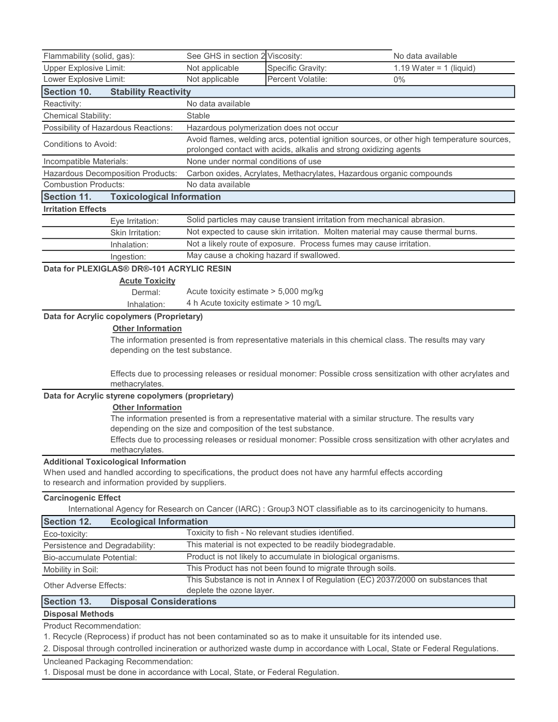| Flammability (solid, gas):                                                                                                                                                                                                                                                                                                                                                                                                                                                                                                                                                                                                                                                                                                                                                                                                                                                                      | See GHS in section 2 Viscosity:          |                                                                                                                                                                 | No data available                                                                                                 |  |  |  |
|-------------------------------------------------------------------------------------------------------------------------------------------------------------------------------------------------------------------------------------------------------------------------------------------------------------------------------------------------------------------------------------------------------------------------------------------------------------------------------------------------------------------------------------------------------------------------------------------------------------------------------------------------------------------------------------------------------------------------------------------------------------------------------------------------------------------------------------------------------------------------------------------------|------------------------------------------|-----------------------------------------------------------------------------------------------------------------------------------------------------------------|-------------------------------------------------------------------------------------------------------------------|--|--|--|
| <b>Upper Explosive Limit:</b>                                                                                                                                                                                                                                                                                                                                                                                                                                                                                                                                                                                                                                                                                                                                                                                                                                                                   | Not applicable                           | Specific Gravity:                                                                                                                                               | 1.19 Water = $1$ (liquid)                                                                                         |  |  |  |
| Lower Explosive Limit:                                                                                                                                                                                                                                                                                                                                                                                                                                                                                                                                                                                                                                                                                                                                                                                                                                                                          | Not applicable                           | Percent Volatile:                                                                                                                                               | 0%                                                                                                                |  |  |  |
| Section 10.<br><b>Stability Reactivity</b>                                                                                                                                                                                                                                                                                                                                                                                                                                                                                                                                                                                                                                                                                                                                                                                                                                                      |                                          |                                                                                                                                                                 |                                                                                                                   |  |  |  |
| Reactivity:                                                                                                                                                                                                                                                                                                                                                                                                                                                                                                                                                                                                                                                                                                                                                                                                                                                                                     | No data available                        |                                                                                                                                                                 |                                                                                                                   |  |  |  |
| Chemical Stability:                                                                                                                                                                                                                                                                                                                                                                                                                                                                                                                                                                                                                                                                                                                                                                                                                                                                             | Stable                                   |                                                                                                                                                                 |                                                                                                                   |  |  |  |
| Possibility of Hazardous Reactions:                                                                                                                                                                                                                                                                                                                                                                                                                                                                                                                                                                                                                                                                                                                                                                                                                                                             | Hazardous polymerization does not occur  |                                                                                                                                                                 |                                                                                                                   |  |  |  |
| Conditions to Avoid:                                                                                                                                                                                                                                                                                                                                                                                                                                                                                                                                                                                                                                                                                                                                                                                                                                                                            |                                          | Avoid flames, welding arcs, potential ignition sources, or other high temperature sources,<br>prolonged contact with acids, alkalis and strong oxidizing agents |                                                                                                                   |  |  |  |
| Incompatible Materials:                                                                                                                                                                                                                                                                                                                                                                                                                                                                                                                                                                                                                                                                                                                                                                                                                                                                         |                                          | None under normal conditions of use                                                                                                                             |                                                                                                                   |  |  |  |
| Hazardous Decomposition Products:                                                                                                                                                                                                                                                                                                                                                                                                                                                                                                                                                                                                                                                                                                                                                                                                                                                               |                                          | Carbon oxides, Acrylates, Methacrylates, Hazardous organic compounds                                                                                            |                                                                                                                   |  |  |  |
| <b>Combustion Products:</b>                                                                                                                                                                                                                                                                                                                                                                                                                                                                                                                                                                                                                                                                                                                                                                                                                                                                     | No data available                        |                                                                                                                                                                 |                                                                                                                   |  |  |  |
| Section 11.<br><b>Toxicological Information</b>                                                                                                                                                                                                                                                                                                                                                                                                                                                                                                                                                                                                                                                                                                                                                                                                                                                 |                                          |                                                                                                                                                                 |                                                                                                                   |  |  |  |
| <b>Irritation Effects</b>                                                                                                                                                                                                                                                                                                                                                                                                                                                                                                                                                                                                                                                                                                                                                                                                                                                                       |                                          |                                                                                                                                                                 |                                                                                                                   |  |  |  |
| Eye Irritation:                                                                                                                                                                                                                                                                                                                                                                                                                                                                                                                                                                                                                                                                                                                                                                                                                                                                                 |                                          | Solid particles may cause transient irritation from mechanical abrasion.                                                                                        |                                                                                                                   |  |  |  |
| Skin Irritation:                                                                                                                                                                                                                                                                                                                                                                                                                                                                                                                                                                                                                                                                                                                                                                                                                                                                                |                                          |                                                                                                                                                                 | Not expected to cause skin irritation. Molten material may cause thermal burns.                                   |  |  |  |
| Inhalation:                                                                                                                                                                                                                                                                                                                                                                                                                                                                                                                                                                                                                                                                                                                                                                                                                                                                                     |                                          |                                                                                                                                                                 | Not a likely route of exposure. Process fumes may cause irritation.                                               |  |  |  |
| Ingestion:                                                                                                                                                                                                                                                                                                                                                                                                                                                                                                                                                                                                                                                                                                                                                                                                                                                                                      | May cause a choking hazard if swallowed. |                                                                                                                                                                 |                                                                                                                   |  |  |  |
| Data for PLEXIGLAS® DR®-101 ACRYLIC RESIN                                                                                                                                                                                                                                                                                                                                                                                                                                                                                                                                                                                                                                                                                                                                                                                                                                                       |                                          |                                                                                                                                                                 |                                                                                                                   |  |  |  |
| <b>Acute Toxicity</b>                                                                                                                                                                                                                                                                                                                                                                                                                                                                                                                                                                                                                                                                                                                                                                                                                                                                           |                                          |                                                                                                                                                                 |                                                                                                                   |  |  |  |
| Dermal:                                                                                                                                                                                                                                                                                                                                                                                                                                                                                                                                                                                                                                                                                                                                                                                                                                                                                         | Acute toxicity estimate > 5,000 mg/kg    |                                                                                                                                                                 |                                                                                                                   |  |  |  |
| Inhalation:                                                                                                                                                                                                                                                                                                                                                                                                                                                                                                                                                                                                                                                                                                                                                                                                                                                                                     |                                          | 4 h Acute toxicity estimate > 10 mg/L                                                                                                                           |                                                                                                                   |  |  |  |
| The information presented is from representative materials in this chemical class. The results may vary<br>depending on the test substance.<br>Effects due to processing releases or residual monomer: Possible cross sensitization with other acrylates and<br>methacrylates.<br>Data for Acrylic styrene copolymers (proprietary)<br><b>Other Information</b><br>The information presented is from a representative material with a similar structure. The results vary<br>depending on the size and composition of the test substance.<br>Effects due to processing releases or residual monomer: Possible cross sensitization with other acrylates and<br>methacrylates.<br><b>Additional Toxicological Information</b><br>When used and handled according to specifications, the product does not have any harmful effects according<br>to research and information provided by suppliers. |                                          |                                                                                                                                                                 |                                                                                                                   |  |  |  |
| <b>Carcinogenic Effect</b>                                                                                                                                                                                                                                                                                                                                                                                                                                                                                                                                                                                                                                                                                                                                                                                                                                                                      |                                          |                                                                                                                                                                 | International Agency for Research on Cancer (IARC) : Group3 NOT classifiable as to its carcinogenicity to humans. |  |  |  |
| <b>Ecological Information</b><br><b>Section 12.</b>                                                                                                                                                                                                                                                                                                                                                                                                                                                                                                                                                                                                                                                                                                                                                                                                                                             |                                          |                                                                                                                                                                 |                                                                                                                   |  |  |  |
| Eco-toxicity:                                                                                                                                                                                                                                                                                                                                                                                                                                                                                                                                                                                                                                                                                                                                                                                                                                                                                   |                                          | Toxicity to fish - No relevant studies identified.                                                                                                              |                                                                                                                   |  |  |  |
| Persistence and Degradability:                                                                                                                                                                                                                                                                                                                                                                                                                                                                                                                                                                                                                                                                                                                                                                                                                                                                  |                                          | This material is not expected to be readily biodegradable.                                                                                                      |                                                                                                                   |  |  |  |
| Bio-accumulate Potential:                                                                                                                                                                                                                                                                                                                                                                                                                                                                                                                                                                                                                                                                                                                                                                                                                                                                       |                                          | Product is not likely to accumulate in biological organisms.                                                                                                    |                                                                                                                   |  |  |  |
| Mobility in Soil:                                                                                                                                                                                                                                                                                                                                                                                                                                                                                                                                                                                                                                                                                                                                                                                                                                                                               |                                          | This Product has not been found to migrate through soils.                                                                                                       |                                                                                                                   |  |  |  |
| <b>Other Adverse Effects:</b>                                                                                                                                                                                                                                                                                                                                                                                                                                                                                                                                                                                                                                                                                                                                                                                                                                                                   | deplete the ozone layer.                 |                                                                                                                                                                 | This Substance is not in Annex I of Regulation (EC) 2037/2000 on substances that                                  |  |  |  |
| Section 13.<br><b>Disposal Considerations</b>                                                                                                                                                                                                                                                                                                                                                                                                                                                                                                                                                                                                                                                                                                                                                                                                                                                   |                                          |                                                                                                                                                                 |                                                                                                                   |  |  |  |
| <b>Disposal Methods</b>                                                                                                                                                                                                                                                                                                                                                                                                                                                                                                                                                                                                                                                                                                                                                                                                                                                                         |                                          |                                                                                                                                                                 |                                                                                                                   |  |  |  |
| <b>Product Recommendation:</b><br>1. Recycle (Reprocess) if product has not been contaminated so as to make it unsuitable for its intended use.                                                                                                                                                                                                                                                                                                                                                                                                                                                                                                                                                                                                                                                                                                                                                 |                                          |                                                                                                                                                                 |                                                                                                                   |  |  |  |

2. Disposal through controlled incineration or authorized waste dump in accordance with Local, State or Federal Regulations.

Uncleaned Packaging Recommendation:

1. Disposal must be done in accordance with Local, State, or Federal Regulation.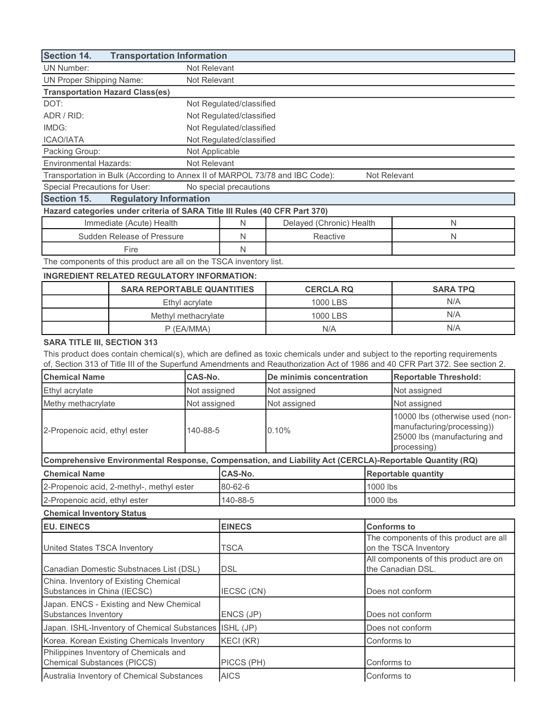| <b>Section 14.</b><br><b>Transportation Information</b>                                                                                                                                                                                                                                           |                                                                              |                |                          |                                                                                                         |                                                                                                              |                              |
|---------------------------------------------------------------------------------------------------------------------------------------------------------------------------------------------------------------------------------------------------------------------------------------------------|------------------------------------------------------------------------------|----------------|--------------------------|---------------------------------------------------------------------------------------------------------|--------------------------------------------------------------------------------------------------------------|------------------------------|
| <b>UN Number:</b>                                                                                                                                                                                                                                                                                 | Not Relevant                                                                 |                |                          |                                                                                                         |                                                                                                              |                              |
| <b>UN Proper Shipping Name:</b>                                                                                                                                                                                                                                                                   |                                                                              | Not Relevant   |                          |                                                                                                         |                                                                                                              |                              |
| <b>Transportation Hazard Class(es)</b>                                                                                                                                                                                                                                                            |                                                                              |                |                          |                                                                                                         |                                                                                                              |                              |
| DOT:                                                                                                                                                                                                                                                                                              |                                                                              |                | Not Regulated/classified |                                                                                                         |                                                                                                              |                              |
| ADR / RID:                                                                                                                                                                                                                                                                                        |                                                                              |                | Not Regulated/classified |                                                                                                         |                                                                                                              |                              |
| IMDG:                                                                                                                                                                                                                                                                                             |                                                                              |                | Not Regulated/classified |                                                                                                         |                                                                                                              |                              |
| <b>ICAO/IATA</b>                                                                                                                                                                                                                                                                                  |                                                                              |                | Not Regulated/classified |                                                                                                         |                                                                                                              |                              |
| Packing Group:                                                                                                                                                                                                                                                                                    |                                                                              | Not Applicable |                          |                                                                                                         |                                                                                                              |                              |
| <b>Environmental Hazards:</b>                                                                                                                                                                                                                                                                     |                                                                              | Not Relevant   |                          |                                                                                                         |                                                                                                              |                              |
|                                                                                                                                                                                                                                                                                                   | Transportation in Bulk (According to Annex II of MARPOL 73/78 and IBC Code): |                |                          |                                                                                                         | Not Relevant                                                                                                 |                              |
| Special Precautions for User:                                                                                                                                                                                                                                                                     |                                                                              |                | No special precautions   |                                                                                                         |                                                                                                              |                              |
| Section 15.                                                                                                                                                                                                                                                                                       | <b>Regulatory Information</b>                                                |                |                          |                                                                                                         |                                                                                                              |                              |
|                                                                                                                                                                                                                                                                                                   | Hazard categories under criteria of SARA Title III Rules (40 CFR Part 370)   |                |                          |                                                                                                         |                                                                                                              |                              |
|                                                                                                                                                                                                                                                                                                   | Immediate (Acute) Health                                                     |                | N                        | Delayed (Chronic) Health                                                                                |                                                                                                              | N                            |
|                                                                                                                                                                                                                                                                                                   | Sudden Release of Pressure                                                   |                | N                        | Reactive                                                                                                |                                                                                                              | N.                           |
|                                                                                                                                                                                                                                                                                                   | Fire                                                                         |                | N                        |                                                                                                         |                                                                                                              |                              |
|                                                                                                                                                                                                                                                                                                   | The components of this product are all on the TSCA inventory list.           |                |                          |                                                                                                         |                                                                                                              |                              |
|                                                                                                                                                                                                                                                                                                   | <b>INGREDIENT RELATED REGULATORY INFORMATION:</b>                            |                |                          |                                                                                                         |                                                                                                              |                              |
|                                                                                                                                                                                                                                                                                                   | <b>SARA REPORTABLE QUANTITIES</b>                                            |                |                          | <b>CERCLA RQ</b>                                                                                        |                                                                                                              | <b>SARA TPQ</b>              |
|                                                                                                                                                                                                                                                                                                   |                                                                              |                |                          | 1000 LBS                                                                                                |                                                                                                              | N/A                          |
|                                                                                                                                                                                                                                                                                                   |                                                                              | Ethyl acrylate |                          |                                                                                                         |                                                                                                              | N/A                          |
|                                                                                                                                                                                                                                                                                                   | Methyl methacrylate                                                          |                |                          | 1000 LBS                                                                                                |                                                                                                              |                              |
|                                                                                                                                                                                                                                                                                                   |                                                                              | P (EA/MMA)     | N/A                      |                                                                                                         | N/A                                                                                                          |                              |
| <b>SARA TITLE III, SECTION 313</b><br>This product does contain chemical(s), which are defined as toxic chemicals under and subject to the reporting requirements<br>of, Section 313 of Title III of the Superfund Amendments and Reauthorization Act of 1986 and 40 CFR Part 372. See section 2. |                                                                              |                |                          |                                                                                                         |                                                                                                              |                              |
| <b>Chemical Name</b>                                                                                                                                                                                                                                                                              |                                                                              | CAS-No.        |                          | De minimis concentration                                                                                |                                                                                                              | <b>Reportable Threshold:</b> |
| Ethyl acrylate                                                                                                                                                                                                                                                                                    |                                                                              | Not assigned   | Not assigned             |                                                                                                         |                                                                                                              | Not assigned                 |
| Methy methacrylate                                                                                                                                                                                                                                                                                |                                                                              | Not assigned   | Not assigned             |                                                                                                         |                                                                                                              | Not assigned                 |
| 2-Propenoic acid, ethyl ester<br>140-88-5                                                                                                                                                                                                                                                         |                                                                              | 0.10%          |                          |                                                                                                         | 10000 lbs (otherwise used (non-<br>manufacturing/processing))<br>25000 lbs (manufacturing and<br>processing) |                              |
|                                                                                                                                                                                                                                                                                                   |                                                                              |                |                          | Comprehensive Environmental Response, Compensation, and Liability Act (CERCLA)-Reportable Quantity (RQ) |                                                                                                              |                              |
| <b>Chemical Name</b>                                                                                                                                                                                                                                                                              |                                                                              |                | CAS-No.                  |                                                                                                         |                                                                                                              | <b>Reportable quantity</b>   |
|                                                                                                                                                                                                                                                                                                   | 2-Propenoic acid, 2-methyl-, methyl ester                                    |                | 80-62-6                  |                                                                                                         | 1000 lbs                                                                                                     |                              |
| 2-Propenoic acid, ethyl ester                                                                                                                                                                                                                                                                     |                                                                              |                | 140-88-5                 |                                                                                                         | 1000 lbs                                                                                                     |                              |
|                                                                                                                                                                                                                                                                                                   |                                                                              |                |                          |                                                                                                         |                                                                                                              |                              |
| <b>Chemical Inventory Status</b>                                                                                                                                                                                                                                                                  |                                                                              |                |                          |                                                                                                         |                                                                                                              |                              |
| <b>EU. EINECS</b>                                                                                                                                                                                                                                                                                 |                                                                              | <b>EINECS</b>  |                          | <b>Conforms to</b><br>The components of this product are all                                            |                                                                                                              |                              |
| United States TSCA Inventory                                                                                                                                                                                                                                                                      |                                                                              |                | <b>TSCA</b>              |                                                                                                         | on the TSCA Inventory<br>All components of this product are on                                               |                              |
| Canadian Domestic Substnaces List (DSL)                                                                                                                                                                                                                                                           |                                                                              |                | DSL                      |                                                                                                         | the Canadian DSL.                                                                                            |                              |
| China. Inventory of Existing Chemical<br>Substances in China (IECSC)                                                                                                                                                                                                                              |                                                                              | IECSC (CN)     |                          | Does not conform                                                                                        |                                                                                                              |                              |
| Japan. ENCS - Existing and New Chemical<br>Substances Inventory                                                                                                                                                                                                                                   |                                                                              | ENCS (JP)      |                          | Does not conform                                                                                        |                                                                                                              |                              |
| Japan. ISHL-Inventory of Chemical Substances                                                                                                                                                                                                                                                      |                                                                              | ISHL (JP)      |                          | Does not conform                                                                                        |                                                                                                              |                              |
| Korea. Korean Existing Chemicals Inventory                                                                                                                                                                                                                                                        |                                                                              | KECI (KR)      |                          | Conforms to                                                                                             |                                                                                                              |                              |
| Philippines Inventory of Chemicals and                                                                                                                                                                                                                                                            |                                                                              |                |                          |                                                                                                         |                                                                                                              |                              |
| <b>Chemical Substances (PICCS)</b>                                                                                                                                                                                                                                                                |                                                                              |                | PICCS (PH)               |                                                                                                         | Conforms to                                                                                                  |                              |
| Australia Inventory of Chemical Substances                                                                                                                                                                                                                                                        |                                                                              | <b>AICS</b>    |                          | Conforms to                                                                                             |                                                                                                              |                              |

٦